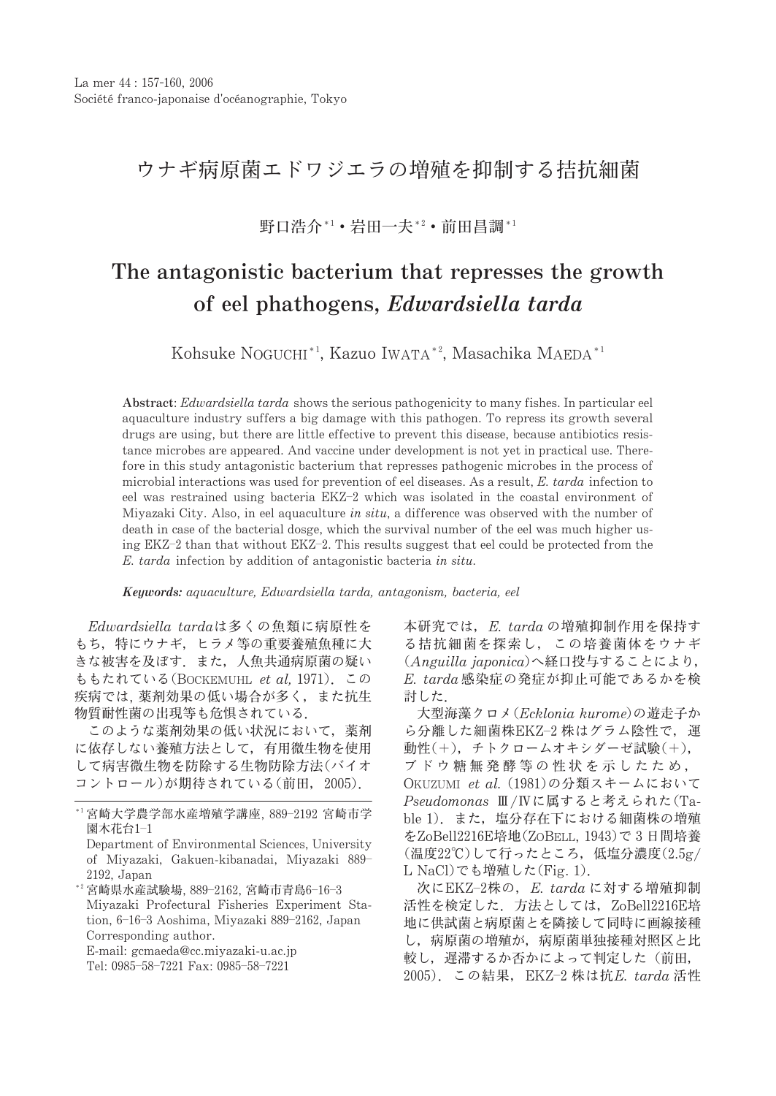## ウナギ病原菌エドワジエラの増殖を抑制する拮抗細菌

野口浩介\*1•岩田一夫\*2•前田昌調\*1

## The antagonistic bacterium that represses the growth of eel phathogens, Edwardsiella tarda

Kohsuke NOGUCHI<sup>\*1</sup>, Kazuo IWATA<sup>\*2</sup>, Masachika MAEDA<sup>\*1</sup>

Abstract: Edwardsiella tarda shows the serious pathogenicity to many fishes. In particular eel aquaculture industry suffers a big damage with this pathogen. To repress its growth several drugs are using, but there are little effective to prevent this disease, because antibiotics resistance microbes are appeared. And vaccine under development is not yet in practical use. Therefore in this study antagonistic bacterium that represses pathogenic microbes in the process of microbial interactions was used for prevention of eel diseases. As a result, E. tarda infection to eel was restrained using bacteria EKZ-2 which was isolated in the coastal environment of Miyazaki City. Also, in eel aquaculture in situ, a difference was observed with the number of death in case of the bacterial dosge, which the survival number of the eel was much higher using EKZ-2 than that without EKZ-2. This results suggest that eel could be protected from the E. tarda infection by addition of antagonistic bacteria in situ.

Keywords: aquaculture, Edwardsiella tarda, antagonism, bacteria, eel

Edwardsiella tardaは多くの魚類に病原性を もち、特にウナギ、ヒラメ等の重要養殖魚種に大 きな被害を及ぼす。また、人魚共通病原菌の疑い ももたれている(BOCKEMUHL et al. 1971). この 疾病では. 薬剤効果の低い場合が多く,また抗生 物質耐性菌の出現等も危惧されている.

このような薬剤効果の低い状況において、薬剤 に依存しない養殖方法として、有用微生物を使用 して病害微生物を防除する生物防除方法(バイオ コントロール)が期待されている(前田, 2005).

本研究では、E. tardaの増殖抑制作用を保持す る拮抗細菌を探索し、この培養菌体をウナギ (Anguilla japonica)へ経口投与することにより,  $E.$  tarda 感染症の発症が抑止可能であるかを検 計した.

大型海藻クロメ(Ecklonia kurome)の遊走子か ら分離した細菌株EKZ-2株はグラム陰性で、運 動性(+), チトクロームオキシダーゼ試験(+), ブドウ糖無発酵等の性状を示したため, OKUZUMI et al. (1981)の分類スキームにおいて Pseudomonas Ⅲ/Ⅳに属すると考えられた(Table 1). また、塩分存在下における細菌株の増殖 をZoBell2216E培地(ZoBELL, 1943)で3日間培養 (温度22℃)して行ったところ、低塩分濃度(2.5g/ L NaCl)でも増殖した(Fig. 1).

次にEKZ-2株の、E. tardaに対する増殖抑制 活性を検定した. 方法としては、ZoBell2216E培 地に供試菌と病原菌とを隣接して同時に画線接種 し、病原菌の増殖が、病原菌単独接種対照区と比 較し、遅滞するか否かによって判定した(前田, 2005). この結果, EKZ-2 株は抗E. tarda 活性

<sup>\*1</sup>宮崎大学農学部水産増殖学講座, 889-2192 宮崎市学 園木花台1-1

Department of Environmental Sciences, University of Miyazaki, Gakuen-kibanadai, Miyazaki 889-2192, Japan

<sup>\*2</sup> 宮崎県水産試験場, 889-2162, 宮崎市青島6-16-3 Miyazaki Profectural Fisheries Experiment Station, 6-16-3 Aoshima, Miyazaki 889-2162, Japan Corresponding author.

E-mail: gcmaeda@cc.miyazaki-u.ac.jp

Tel: 0985-58-7221 Fax: 0985-58-7221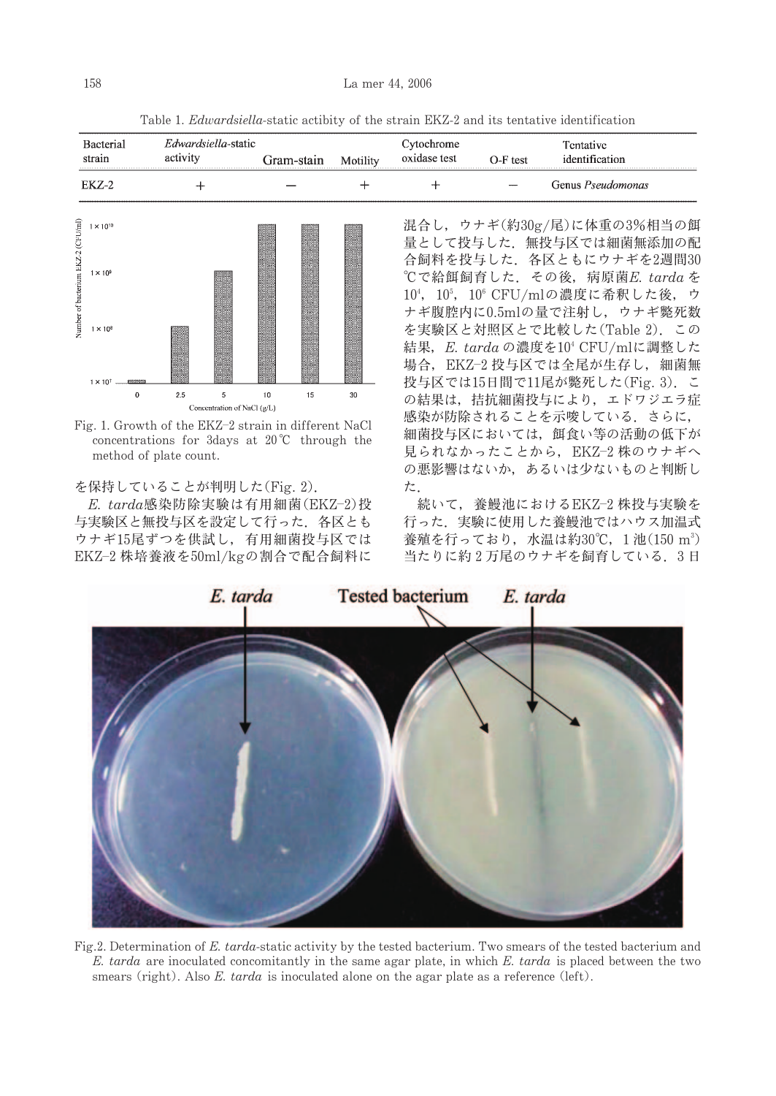Table 1. *Edwardsiella*-static actibity of the strain EKZ-2 and its tentative identification

| strain  | Edwardsiella-static<br>activity | Gram-stain | Motility | btochrome<br>oxidase test | $O-F$ test   | Fentative<br>identification |
|---------|---------------------------------|------------|----------|---------------------------|--------------|-----------------------------|
| EK 7.-2 |                                 |            |          |                           | <b>STATE</b> | Genus <i>Pseudomonas</i>    |



Fig. 1. Growth of the EKZ-2 strain in different NaCl concentrations for 3days at  $20^{\circ}$ C through the method of plate count.

を保持していることが判明した(Fig. 2).

E. tarda感染防除実験は有用細菌(EKZ-2)投 与実験区と無投与区を設定して行った、各区とも ウナギ15尾ずつを供試し、有用細菌投与区では EKZ-2 株培養液を50ml/kgの割合で配合飼料に 混合し、ウナギ(約30g/尾)に体重の3%相当の餌 量として投与した. 無投与区では細菌無添加の配 合飼料を投与した. 各区ともにウナギを2週間30 ℃で給餌飼育した. その後, 病原菌E. tarda を 10<sup>4</sup>, 10<sup>5</sup>, 10<sup>6</sup> CFU/mlの濃度に希釈した後, ウ ナギ腹腔内に0.5mlの量で注射し、ウナギ斃死数 を実験区と対照区とで比較した(Table 2). この 結果, E. tarda の濃度を10<sup>4</sup> CFU/mlに調整した 場合, EKZ-2 投与区では全尾が生存し, 細菌無 投与区では15日間で11尾が斃死した(Fig. 3). こ の結果は、拮抗細菌投与により、エドワジエラ症 感染が防除されることを示唆している。さらに, 細菌投与区においては、餌食い等の活動の低下が 見られなかったことから、EKZ-2 株のウナギへ の悪影響はないか、あるいは少ないものと判断し た

続いて、養鰻池におけるEKZ-2株投与実験を 行った、実験に使用した養鰻池ではハウス加温式 養殖を行っており、水温は約30℃, 1池(150 m<sup>3</sup>) 当たりに約2万尾のウナギを飼育している。3日



Fig.2. Determination of E. tarda-static activity by the tested bacterium. Two smears of the tested bacterium and E. tarda are inoculated concomitantly in the same agar plate, in which E. tarda is placed between the two smears (right). Also E. tarda is inoculated alone on the agar plate as a reference (left).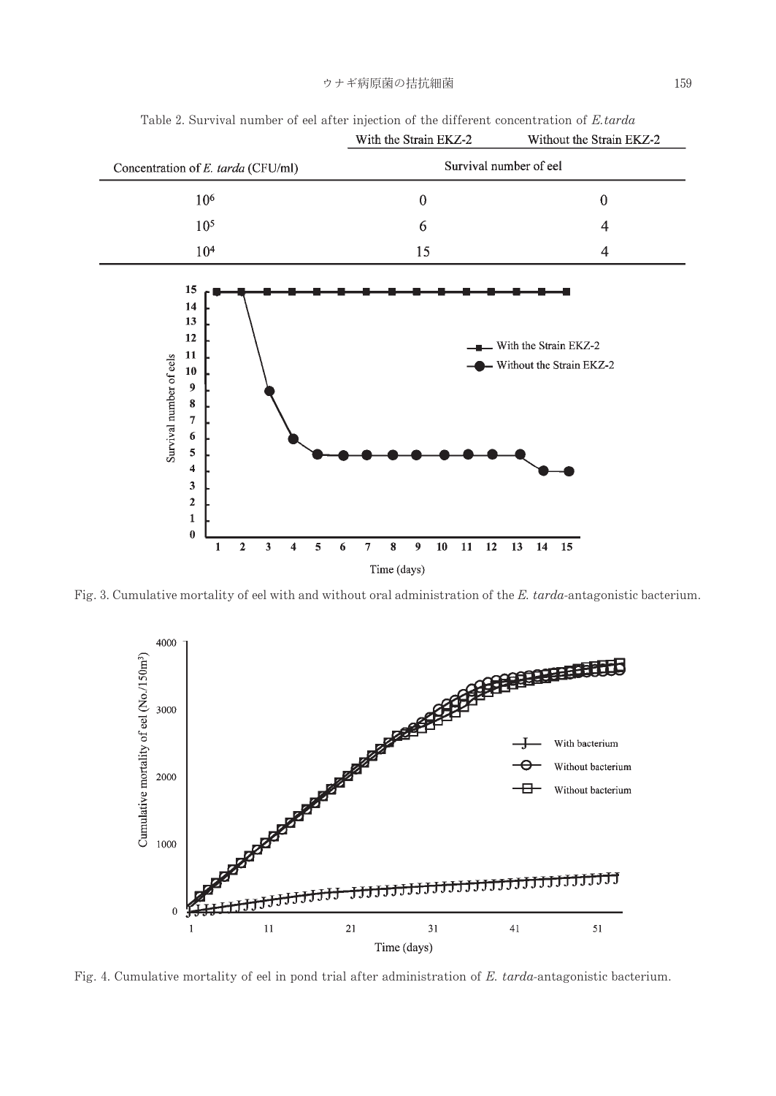

Table 2. Survival number of eel after injection of the different concentration of E.tarda

Fig. 3. Cumulative mortality of eel with and without oral administration of the E. tarda-antagonistic bacterium.



Fig. 4. Cumulative mortality of eel in pond trial after administration of E. tarda-antagonistic bacterium.